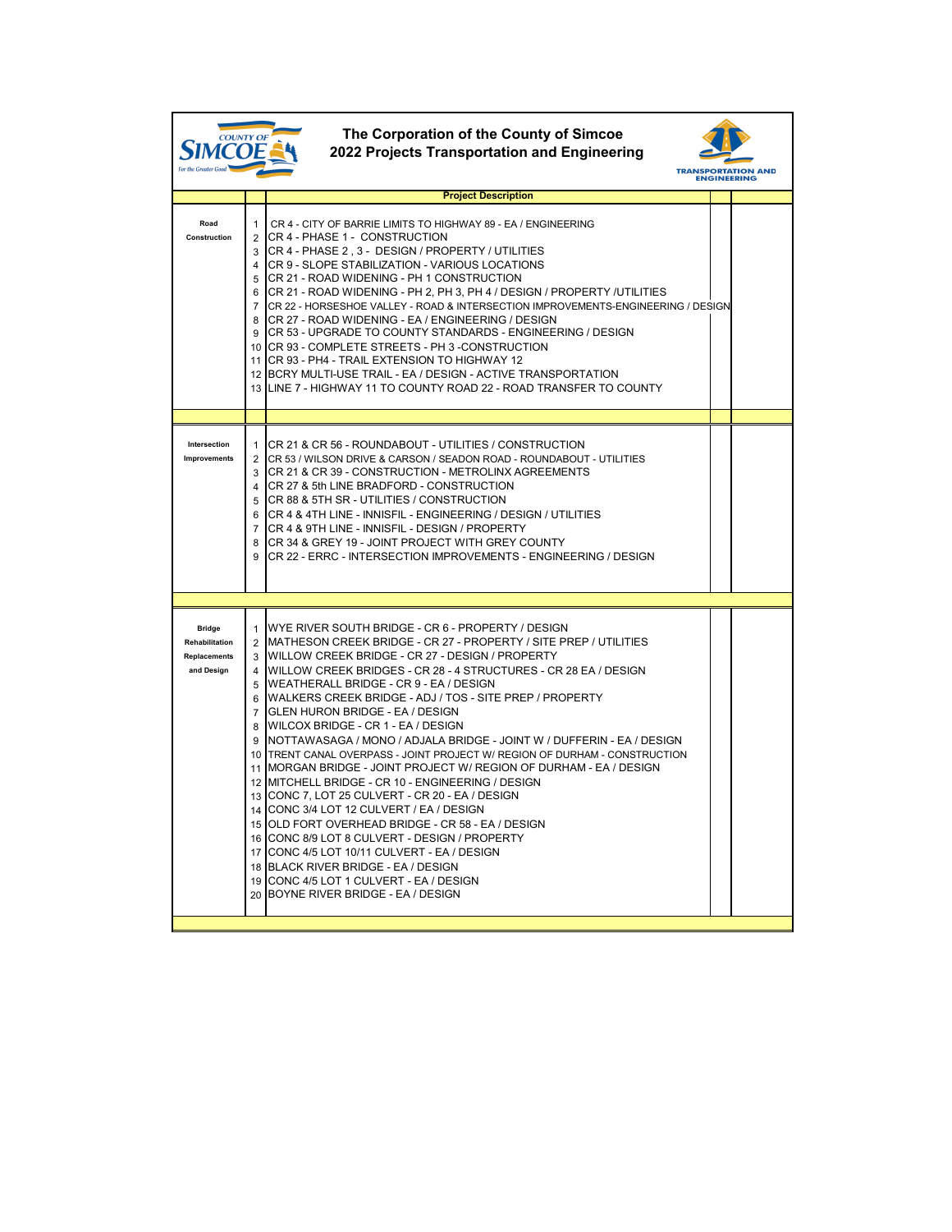| The Corporation of the County of Simcoe<br>COUNTY OI<br>2022 Projects Transportation and Engineering<br>For the Greater Goo<br><b>TRANSPORTATION</b><br><b>ENGINEERING</b> |                                              |                                                                                                                                                                                                                                                                                                                                                                                                                                                                                                                                                                                                                                                                                                                                                                                                                                                                                                                                                                                                                                                                                                                        |  |  |  |  |  |  |
|----------------------------------------------------------------------------------------------------------------------------------------------------------------------------|----------------------------------------------|------------------------------------------------------------------------------------------------------------------------------------------------------------------------------------------------------------------------------------------------------------------------------------------------------------------------------------------------------------------------------------------------------------------------------------------------------------------------------------------------------------------------------------------------------------------------------------------------------------------------------------------------------------------------------------------------------------------------------------------------------------------------------------------------------------------------------------------------------------------------------------------------------------------------------------------------------------------------------------------------------------------------------------------------------------------------------------------------------------------------|--|--|--|--|--|--|
|                                                                                                                                                                            |                                              | <b>Project Description</b>                                                                                                                                                                                                                                                                                                                                                                                                                                                                                                                                                                                                                                                                                                                                                                                                                                                                                                                                                                                                                                                                                             |  |  |  |  |  |  |
| Road<br><b>Construction</b>                                                                                                                                                | $\mathbf 1$<br>2<br>5<br>6<br>$\overline{7}$ | CR 4 - CITY OF BARRIE LIMITS TO HIGHWAY 89 - EA / ENGINEERING<br>CR 4 - PHASE 1 - CONSTRUCTION<br>3 CR 4 - PHASE 2, 3 - DESIGN / PROPERTY / UTILITIES<br>4 ICR 9 - SLOPE STABILIZATION - VARIOUS LOCATIONS<br>ICR 21 - ROAD WIDENING - PH 1 CONSTRUCTION<br>CR 21 - ROAD WIDENING - PH 2, PH 3, PH 4 / DESIGN / PROPERTY /UTILITIES<br>CR 22 - HORSESHOE VALLEY - ROAD & INTERSECTION IMPROVEMENTS-ENGINEERING / DESIGN<br>8 CR 27 - ROAD WIDENING - EA / ENGINEERING / DESIGN<br>9 CR 53 - UPGRADE TO COUNTY STANDARDS - ENGINEERING / DESIGN<br>10 CR 93 - COMPLETE STREETS - PH 3 - CONSTRUCTION<br>11 ICR 93 - PH4 - TRAIL EXTENSION TO HIGHWAY 12<br>12 BCRY MULTI-USE TRAIL - EA / DESIGN - ACTIVE TRANSPORTATION<br>13 ILINE 7 - HIGHWAY 11 TO COUNTY ROAD 22 - ROAD TRANSFER TO COUNTY                                                                                                                                                                                                                                                                                                                         |  |  |  |  |  |  |
|                                                                                                                                                                            |                                              |                                                                                                                                                                                                                                                                                                                                                                                                                                                                                                                                                                                                                                                                                                                                                                                                                                                                                                                                                                                                                                                                                                                        |  |  |  |  |  |  |
| <b>Intersection</b><br>Improvements                                                                                                                                        | 1.<br>2<br>3<br>$\overline{4}$<br>5          | ICR 21 & CR 56 - ROUNDABOUT - UTILITIES / CONSTRUCTION<br>ICR 53 / WILSON DRIVE & CARSON / SEADON ROAD - ROUNDABOUT - UTILITIES<br>ICR 21 & CR 39 - CONSTRUCTION - METROLINX AGREEMENTS<br>ICR 27 & 5th LINE BRADFORD - CONSTRUCTION<br>ICR 88 & 5TH SR - UTILITIES / CONSTRUCTION<br>6 ICR 4 & 4TH LINE - INNISFIL - ENGINEERING / DESIGN / UTILITIES<br>7 ICR 4 & 9TH LINE - INNISFIL - DESIGN / PROPERTY<br>8 ICR 34 & GREY 19 - JOINT PROJECT WITH GREY COUNTY<br>9 CR 22 - ERRC - INTERSECTION IMPROVEMENTS - ENGINEERING / DESIGN                                                                                                                                                                                                                                                                                                                                                                                                                                                                                                                                                                                |  |  |  |  |  |  |
|                                                                                                                                                                            |                                              |                                                                                                                                                                                                                                                                                                                                                                                                                                                                                                                                                                                                                                                                                                                                                                                                                                                                                                                                                                                                                                                                                                                        |  |  |  |  |  |  |
| <b>Bridge</b><br><b>Rehabilitation</b><br><b>Replacements</b><br>and Design                                                                                                | 5                                            | 1 WYE RIVER SOUTH BRIDGE - CR 6 - PROPERTY / DESIGN<br>2 IMATHESON CREEK BRIDGE - CR 27 - PROPERTY / SITE PREP / UTILITIES<br>3 WILLOW CREEK BRIDGE - CR 27 - DESIGN / PROPERTY<br>4 IWILLOW CREEK BRIDGES - CR 28 - 4 STRUCTURES - CR 28 EA / DESIGN<br><b>IWEATHERALL BRIDGE - CR 9 - EA / DESIGN</b><br>6 WALKERS CREEK BRIDGE - ADJ / TOS - SITE PREP / PROPERTY<br>7 GLEN HURON BRIDGE - EA / DESIGN<br>8 WILCOX BRIDGE - CR 1 - EA / DESIGN<br>9 INOTTAWASAGA / MONO / ADJALA BRIDGE - JOINT W / DUFFERIN - EA / DESIGN<br>10 TRENT CANAL OVERPASS - JOINT PROJECT W/ REGION OF DURHAM - CONSTRUCTION<br>11 IMORGAN BRIDGE - JOINT PROJECT W/ REGION OF DURHAM - EA / DESIGN<br>12 IMITCHELL BRIDGE - CR 10 - ENGINEERING / DESIGN<br>13 CONC 7, LOT 25 CULVERT - CR 20 - EA / DESIGN<br>14 CONC 3/4 LOT 12 CULVERT / EA / DESIGN<br>15 OLD FORT OVERHEAD BRIDGE - CR 58 - EA / DESIGN<br>16 CONC 8/9 LOT 8 CULVERT - DESIGN / PROPERTY<br>17 ICONC 4/5 LOT 10/11 CULVERT - EA / DESIGN<br>18 BLACK RIVER BRIDGE - EA / DESIGN<br>19 CONC 4/5 LOT 1 CULVERT - EA / DESIGN<br>20 BOYNE RIVER BRIDGE - EA / DESIGN |  |  |  |  |  |  |